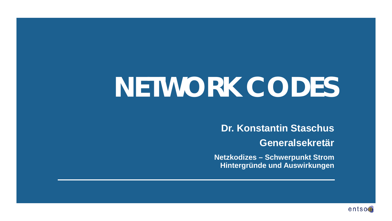# **NETWORK CODES**

**Dr. Konstantin Staschus**

**Generalsekretär**

**Netzkodizes – Schwerpunkt Strom Hintergründe und Auswirkungen**

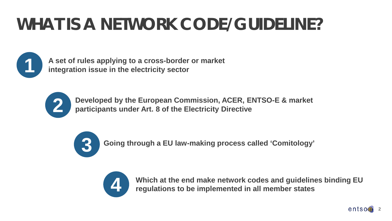# **WHAT IS A NETWORK CODE/GUIDELINE?**



**A set of rules applying to a cross-border or market integration issue in the electricity sector**



**Developed by the European Commission, ACER, ENTSO-E & market participants under Art. 8 of the Electricity Directive**



**Going through a EU law-making process called 'Comitology'**



**Which at the end make network codes and guidelines binding EU regulations to be implemented in all member states**

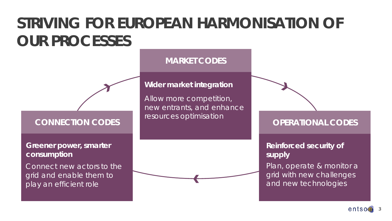### **STRIVING FOR EUROPEAN HARMONISATION OF OUR PROCESSES**

#### **CONNECTION CODES**

#### **Greener power, smarter consumption**

Connect new actors to the grid and enable them to play an efficient role

#### **MARKET CODES**

#### **Wider market integration**

Allow more competition, new entrants, and enhance resources optimisation



#### **OPERATIONAL CODES**

**Reinforced security of supply**

Plan, operate & monitor a grid with new challenges and new technologies

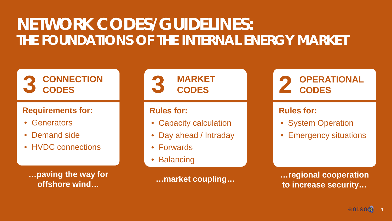### **NETWORK CODES/GUIDELINES: THE FOUNDATIONS OF THE INTERNAL ENERGY MARKET**

### **CONNECTION CODES 3**

### **Requirements for:**

- Generators
- Demand side
- HVDC connections

**…paving the way for** 



### **Rules for:**

- Capacity calculation
- Day ahead / Intraday
- Forwards
- **Balancing**



### **Rules for:**

- System Operation
- Emergency situations

**offshore wind… …market coupling… …regional cooperation to increase security…**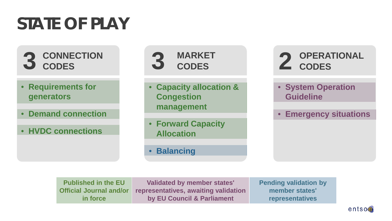# **STATE OF PLAY**

**CONNECTION 3 CODES**

- **Requirements for generators**
- **Demand connection**
- **HVDC connections**

**MARKET CODES**

- **Capacity allocation & Congestion management**
- **Forward Capacity Allocation**

• **Balancing**

# **OPERATIONAL 3 2 CODES**

- **System Operation Guideline**
- **Emergency situations**

| <b>Published in the EU</b>     | Validated by member states'          | <b>Pending validation by</b> |
|--------------------------------|--------------------------------------|------------------------------|
| <b>Official Journal and/or</b> | representatives, awaiting validation | member states'               |
| in force                       | by EU Council & Parliament           | representatives              |

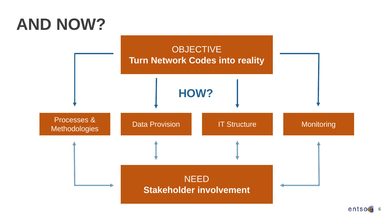### **AND NOW?**



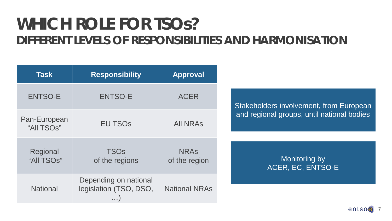### **WHICH ROLE FOR TSOs? DIFFERENT LEVELS OF RESPONSIBILITIES AND HARMONISATION**

| <b>Task</b>                | <b>Responsibility</b>                                | <b>Approval</b>              |  |  |
|----------------------------|------------------------------------------------------|------------------------------|--|--|
| <b>ENTSO-E</b>             | <b>ENTSO-E</b>                                       | <b>ACER</b>                  |  |  |
| Pan-European<br>"All TSOs" | <b>EU TSOS</b>                                       | <b>All NRAS</b>              |  |  |
| Regional<br>"All TSOs"     | <b>TSOs</b><br>of the regions                        | <b>NRAS</b><br>of the region |  |  |
| <b>National</b>            | Depending on national<br>legislation (TSO, DSO,<br>. | <b>National NRAs</b>         |  |  |

Stakeholders involvement, from European and regional groups, until national bodies

> Monitoring by ACER, EC, ENTSO-E

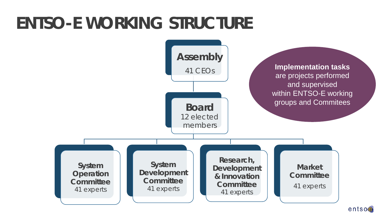# **ENTSO-E WORKING STRUCTURE**



entsoe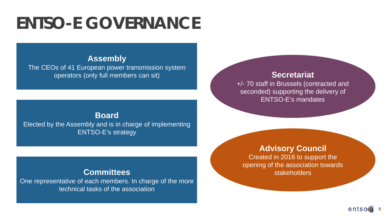# **ENTSO-E GOVERNANCE**

#### **Assembly** The CEOs of 41 European power transmission system operators (only full members can sit)

**Board** Elected by the Assembly and is in charge of implementing ENTSO-E's strategy

#### **Committees**

One representative of each members. In charge of the more technical tasks of the association

#### **Secretariat**

+/- 70 staff in Brussels (contracted and seconded) supporting the delivery of ENTSO-E's mandates

**Advisory Council**

Created in 2016 to support the opening of the association towards stakeholders

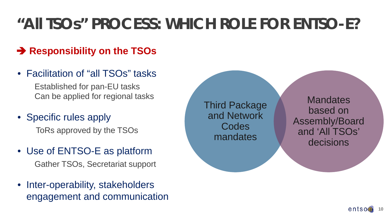### **"All TSOs" PROCESS: WHICH ROLE FOR ENTSO-E?**

### **Responsibility on the TSOs**

• Facilitation of "all TSOs" tasks

Established for pan-EU tasks Can be applied for regional tasks

• Specific rules apply

ToRs approved by the TSOs

- Use of ENTSO-E as platform Gather TSOs, Secretariat support
- Inter-operability, stakeholders engagement and communication

Third Package and Network **Codes** mandates

**Mandates** based on Assembly/Board and 'All TSOs' decisions

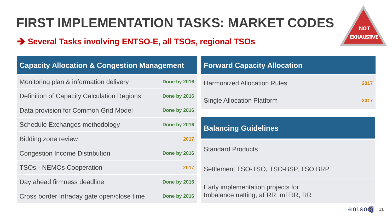### **FIRST IMPLEMENTATION TASKS: MARKET CODES**



### **Several Tasks involving ENTSO-E, all TSOs, regional TSOs**

| <b>Capacity Allocation &amp; Congestion Management</b>            |              | <b>Forward Capacity Allocation</b>         |  |  |
|-------------------------------------------------------------------|--------------|--------------------------------------------|--|--|
| Monitoring plan & information delivery                            | Done by 2016 | <b>Harmonized Allocation Rules</b><br>2017 |  |  |
| <b>Definition of Capacity Calculation Regions</b><br>Done by 2016 |              | <b>Single Allocation Platform</b><br>2017  |  |  |
| Data provision for Common Grid Model<br>Done by 2016              |              |                                            |  |  |
| Done by 2016<br>Schedule Exchanges methodology                    |              | <b>Balancing Guidelines</b>                |  |  |
| <b>Bidding zone review</b>                                        | 2017         |                                            |  |  |
| <b>Congestion Income Distribution</b>                             | Done by 2016 | <b>Standard Products</b>                   |  |  |
| <b>TSOs - NEMOs Cooperation</b>                                   | 2017         | Settlement TSO-TSO, TSO-BSP, TSO BRP       |  |  |
| Day ahead firmness deadline<br>Done by 2016                       |              | Early implementation projects for          |  |  |
| Cross border Intraday gate open/close time<br>Done by 2016        |              | Imbalance netting, aFRR, mFRR, RR          |  |  |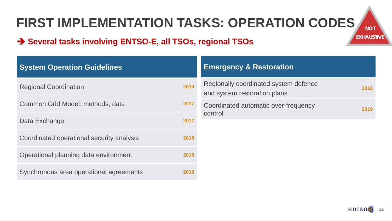### **FIRST IMPLEMENTATION TASKS: OPERATION CODES**



### **→ Several tasks involving ENTSO-E, all TSOs, regional TSOs**

| <b>System Operation Guidelines</b>        |      | <b>Emergency &amp; Restoration</b>                                    |      |  |
|-------------------------------------------|------|-----------------------------------------------------------------------|------|--|
| <b>Regional Coordination</b>              | 2019 | Regionally coordinated system defence<br>and system restoration plans | 2018 |  |
| Common Grid Model: methods, data          | 2017 | Coordinated automatic over-frequency<br>control                       | 2019 |  |
| Data Exchange                             |      |                                                                       |      |  |
| Coordinated operational security analysis | 2018 |                                                                       |      |  |
| Operational planning data environment     | 2019 |                                                                       |      |  |
| Synchronous area operational agreements   | 2018 |                                                                       |      |  |

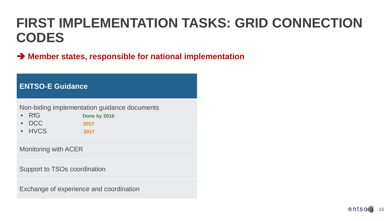### **FIRST IMPLEMENTATION TASKS: GRID CONNECTION CODES**

**→ Member states, responsible for national implementation** 

#### **ENTSO-E Guidance**

Non-biding implementation guidance documents

| $\bullet$ RfG | Done by 2016 |  |
|---------------|--------------|--|
|               |              |  |

• DCC **2017**

• HVCS **2017**

Monitoring with ACER

Support to TSOs coordination

Exchange of experience and coordination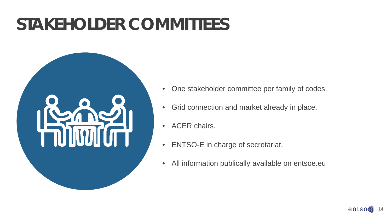# **STAKEHOLDER COMMITTEES**



- One stakeholder committee per family of codes.
- Grid connection and market already in place.
- ACER chairs.
- ENTSO-E in charge of secretariat.
- All information publically available on entsoe.eu

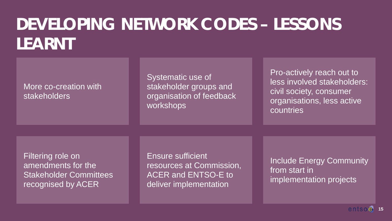# **DEVELOPING NETWORK CODES – LESSONS LEARNT**

| More co-creation with<br><b>stakeholders</b>                                                   | Systematic use of<br>stakeholder groups and<br>organisation of feedback<br>workshops                         | Pro-actively reach out to<br>less involved stakeholders:<br>civil society, consumer<br>organisations, less active<br>countries |
|------------------------------------------------------------------------------------------------|--------------------------------------------------------------------------------------------------------------|--------------------------------------------------------------------------------------------------------------------------------|
|                                                                                                |                                                                                                              |                                                                                                                                |
| Filtering role on<br>amendments for the<br><b>Stakeholder Committees</b><br>recognised by ACER | <b>Ensure sufficient</b><br>resources at Commission,<br><b>ACER and ENTSO-E to</b><br>deliver implementation | <b>Include Energy Community</b><br>from start in<br>implementation projects                                                    |